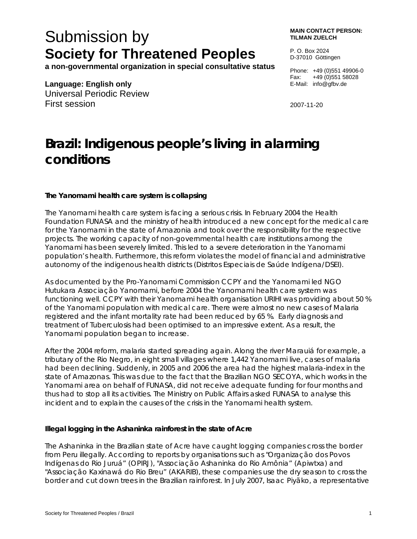# Submission by **Society for Threatened Peoples**

**a non-governmental organization in special consultative status** 

**Language: English only**  Universal Periodic Review First session

**MAIN CONTACT PERSON: TILMAN ZUELCH** 

P. O. Box 2024 D-37010 Göttingen

Phone: +49 (0)551 49906-0 Fax: +49 (0)551 58028 E-Mail: info@gfbv.de

2007-11-20

# **Brazil: Indigenous people's living in alarming conditions**

## **The Yanomami health care system is collapsing**

The Yanomami health care system is facing a serious crisis. In February 2004 the Health Foundation FUNASA and the ministry of health introduced a new concept for the medical care for the Yanomami in the state of Amazonia and took over the responsibility for the respective projects. The working capacity of non-governmental health care institutions among the Yanomami has been severely limited. This led to a severe deterioration in the Yanomami population's health. Furthermore, this reform violates the model of financial and administrative autonomy of the indigenous health districts (Distritos Especiais de Saúde Indígena/DSEI).

As documented by the Pro-Yanomami Commission CCPY and the Yanomami led NGO Hutukara Associação Yanomami, before 2004 the Yanomami health care system was functioning well. CCPY with their Yanomami health organisation URIHI was providing about 50 % of the Yanomami population with medical care. There were almost no new cases of Malaria registered and the infant mortality rate had been reduced by 65 %. Early diagnosis and treatment of Tuberculosis had been optimised to an impressive extent. As a result, the Yanomami population began to increase.

After the 2004 reform, malaria started spreading again. Along the river Marauiá for example, a tributary of the Rio Negro, in eight small villages where 1,442 Yanomami live, cases of malaria had been declining. Suddenly, in 2005 and 2006 the area had the highest malaria-index in the state of Amazonas. This was due to the fact that the Brazilian NGO SECOYA, which works in the Yanomami area on behalf of FUNASA, did not receive adequate funding for four months and thus had to stop all its activities. The Ministry on Public Affairs asked FUNASA to analyse this incident and to explain the causes of the crisis in the Yanomami health system.

## **Illegal logging in the Ashaninka rainforest in the state of Acre**

The Ashaninka in the Brazilian state of Acre have caught logging companies cross the border from Peru illegally. According to reports by organisations such as "Organização dos Povos Indígenas do Rio Juruá" (OPIRJ), "Associação Ashaninka do Rio Amônia" (Apiwtxa) and "Associação Kaxinawá do Rio Breu" (AKARIB), these companies use the dry season to cross the border and cut down trees in the Brazilian rainforest. In July 2007, Isaac Piyãko, a representative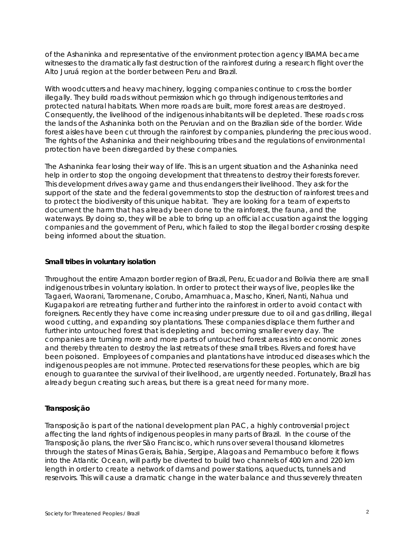of the Ashaninka and representative of the environment protection agency IBAMA became witnesses to the dramatically fast destruction of the rainforest during a research flight over the Alto Juruá region at the border between Peru and Brazil.

With woodcutters and heavy machinery, logging companies continue to cross the border illegally. They build roads without permission which go through indigenous territories and protected natural habitats. When more roads are built, more forest areas are destroyed. Consequently, the livelihood of the indigenous inhabitants will be depleted. These roads cross the lands of the Ashaninka both on the Peruvian and on the Brazilian side of the border. Wide forest aisles have been cut through the rainforest by companies, plundering the precious wood. The rights of the Ashaninka and their neighbouring tribes and the regulations of environmental protection have been disregarded by these companies.

The Ashaninka fear losing their way of life. This is an urgent situation and the Ashaninka need help in order to stop the ongoing development that threatens to destroy their forests forever. This development drives away game and thus endangers their livelihood. They ask for the support of the state and the federal governments to stop the destruction of rainforest trees and to protect the biodiversity of this unique habitat. They are looking for a team of experts to document the harm that has already been done to the rainforest, the fauna, and the waterways. By doing so, they will be able to bring up an official accusation against the logging companies and the government of Peru, which failed to stop the illegal border crossing despite being informed about the situation.

#### **Small tribes in voluntary isolation**

Throughout the entire Amazon border region of Brazil, Peru, Ecuador and Bolivia there are small indigenous tribes in voluntary isolation. In order to protect their ways of live, peoples like the Tagaeri, Waorani, Taromenane, Corubo, Amamhuaca, Mascho, Kineri, Nanti, Nahua und Kugapakori are retreating further and further into the rainforest in order to avoid contact with foreigners. Recently they have come increasing under pressure due to oil and gas drilling, illegal wood cutting, and expanding soy plantations. These companies displace them further and further into untouched forest that is depleting and becoming smaller every day. The companies are turning more and more parts of untouched forest areas into economic zones and thereby threaten to destroy the last retreats of these small tribes. Rivers and forest have been poisoned. Employees of companies and plantations have introduced diseases which the indigenous peoples are not immune. Protected reservations for these peoples, which are big enough to guarantee the survival of their livelihood, are urgently needed. Fortunately, Brazil has already begun creating such areas, but there is a great need for many more.

#### **Transposição**

Transposição is part of the national development plan PAC, a highly controversial project affecting the land rights of indigenous peoples in many parts of Brazil. In the course of the Transposição plans, the river São Francisco, which runs over several thousand kilometres through the states of Minas Gerais, Bahia, Sergipe, Alagoas and Pernambuco before it flows into the Atlantic Ocean, will partly be diverted to build two channels of 400 km and 220 km length in order to create a network of dams and power stations, aqueducts, tunnels and reservoirs. This will cause a dramatic change in the water balance and thus severely threaten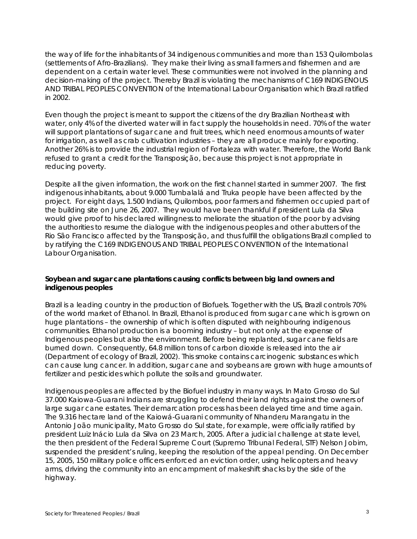the way of life for the inhabitants of 34 indigenous communities and more than 153 Quilombolas (settlements of Afro-Brazilians). They make their living as small farmers and fishermen and are dependent on a certain water level. These communities were not involved in the planning and decision-making of the project. Thereby Brazil is violating the mechanisms of C169 INDIGENOUS AND TRIBAL PEOPLES CONVENTION of the International Labour Organisation which Brazil ratified in 2002.

Even though the project is meant to support the citizens of the dry Brazilian Northeast with water, only 4% of the diverted water will in fact supply the households in need. 70% of the water will support plantations of sugar cane and fruit trees, which need enormous amounts of water for irrigation, as well as crab cultivation industries – they are all produce mainly for exporting. Another 26% is to provide the industrial region of Fortaleza with water. Therefore, the World Bank refused to grant a credit for the Transposição, because this project is not appropriate in reducing poverty.

Despite all the given information, the work on the first channel started in summer 2007. The first indigenous inhabitants, about 9.000 Tumbalalá and Truka people have been affected by the project. For eight days, 1.500 Indians, Quilombos, poor farmers and fishermen occupied part of the building site on June 26, 2007. They would have been thankful if president Lula da Silva would give proof to his declared willingness to meliorate the situation of the poor by advising the authorities to resume the dialogue with the indigenous peoples and other abutters of the Rio São Francisco affected by the Transposição, and thus fulfill the obligations Brazil complied to by ratifying the C169 INDIGENOUS AND TRIBAL PEOPLES CONVENTION of the International Labour Organisation.

## **Soybean and sugar cane plantations causing conflicts between big land owners and indigenous peoples**

Brazil is a leading country in the production of Biofuels. Together with the US, Brazil controls 70% of the world market of Ethanol. In Brazil, Ethanol is produced from sugar cane which is grown on huge plantations – the ownership of which is often disputed with neighbouring indigenous communities. Ethanol production is a booming industry – but not only at the expense of Indigenous peoples but also the environment. Before being replanted, sugar cane fields are burned down. Consequently, 64.8 million tons of carbon dioxide is released into the air (Department of ecology of Brazil, 2002). This smoke contains carcinogenic substances which can cause lung cancer. In addition, sugar cane and soybeans are grown with huge amounts of fertilizer and pesticides which pollute the soils and groundwater.

Indigenous peoples are affected by the Biofuel industry in many ways. In Mato Grosso do Sul 37.000 Kaiowa-Guarani Indians are struggling to defend their land rights against the owners of large sugar cane estates. Their demarcation process has been delayed time and time again. The 9.316 hectare land of the Kaiowá-Guarani community of Nhanderu Marangatu in the Antonio João municipality, Mato Grosso do Sul state, for example, were officially ratified by president Luiz Inácio Lula da Silva on 23 March, 2005. After a judicial challenge at state level, the then president of the Federal Supreme Court (Supremo Tribunal Federal, STF) Nelson Jobim, suspended the president's ruling, keeping the resolution of the appeal pending. On December 15, 2005, 150 military police officers enforced an eviction order, using helicopters and heavy arms, driving the community into an encampment of makeshift shacks by the side of the highway.